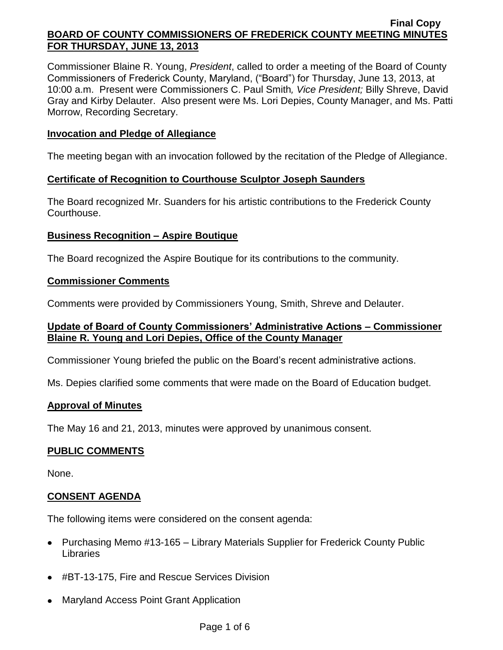Commissioner Blaine R. Young, *President*, called to order a meeting of the Board of County Commissioners of Frederick County, Maryland, ("Board") for Thursday, June 13, 2013, at 10:00 a.m. Present were Commissioners C. Paul Smith*, Vice President;* Billy Shreve, David Gray and Kirby Delauter. Also present were Ms. Lori Depies, County Manager, and Ms. Patti Morrow, Recording Secretary.

### **Invocation and Pledge of Allegiance**

The meeting began with an invocation followed by the recitation of the Pledge of Allegiance.

### **Certificate of Recognition to Courthouse Sculptor Joseph Saunders**

The Board recognized Mr. Suanders for his artistic contributions to the Frederick County Courthouse.

### **Business Recognition – Aspire Boutique**

The Board recognized the Aspire Boutique for its contributions to the community.

### **Commissioner Comments**

Comments were provided by Commissioners Young, Smith, Shreve and Delauter.

## **Update of Board of County Commissioners' Administrative Actions – Commissioner Blaine R. Young and Lori Depies, Office of the County Manager**

Commissioner Young briefed the public on the Board's recent administrative actions.

Ms. Depies clarified some comments that were made on the Board of Education budget.

### **Approval of Minutes**

The May 16 and 21, 2013, minutes were approved by unanimous consent.

## **PUBLIC COMMENTS**

None.

## **CONSENT AGENDA**

The following items were considered on the consent agenda:

- Purchasing Memo #13-165 Library Materials Supplier for Frederick County Public Libraries
- #BT-13-175, Fire and Rescue Services Division
- Maryland Access Point Grant Application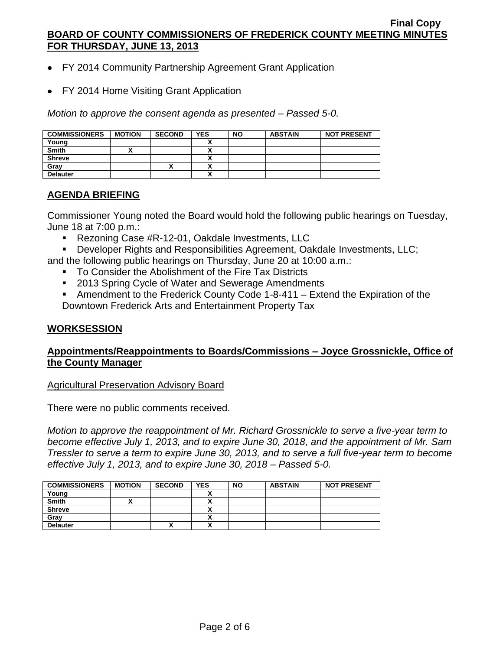- FY 2014 Community Partnership Agreement Grant Application
- FY 2014 Home Visiting Grant Application

*Motion to approve the consent agenda as presented – Passed 5-0.*

| <b>COMMISSIONERS</b> | <b>MOTION</b> | <b>SECOND</b> | <b>YES</b>   | <b>NO</b> | <b>ABSTAIN</b> | <b>NOT PRESENT</b> |
|----------------------|---------------|---------------|--------------|-----------|----------------|--------------------|
| Young                |               |               |              |           |                |                    |
| <b>Smith</b>         |               |               |              |           |                |                    |
| <b>Shreve</b>        |               |               |              |           |                |                    |
| Grav                 |               | "             |              |           |                |                    |
| <b>Delauter</b>      |               |               | $\mathbf{v}$ |           |                |                    |

# **AGENDA BRIEFING**

Commissioner Young noted the Board would hold the following public hearings on Tuesday, June 18 at 7:00 p.m.:

- **Rezoning Case #R-12-01, Oakdale Investments, LLC**
- Developer Rights and Responsibilities Agreement, Oakdale Investments, LLC;

and the following public hearings on Thursday, June 20 at 10:00 a.m.:

- To Consider the Abolishment of the Fire Tax Districts
- 2013 Spring Cycle of Water and Sewerage Amendments
- Amendment to the Frederick County Code 1-8-411 Extend the Expiration of the Downtown Frederick Arts and Entertainment Property Tax

# **WORKSESSION**

## **Appointments/Reappointments to Boards/Commissions – Joyce Grossnickle, Office of the County Manager**

Agricultural Preservation Advisory Board

There were no public comments received.

*Motion to approve the reappointment of Mr. Richard Grossnickle to serve a five-year term to become effective July 1, 2013, and to expire June 30, 2018, and the appointment of Mr. Sam Tressler to serve a term to expire June 30, 2013, and to serve a full five-year term to become effective July 1, 2013, and to expire June 30, 2018 – Passed 5-0.*

| <b>COMMISSIONERS</b> | <b>MOTION</b> | <b>SECOND</b> | <b>YES</b> | <b>NO</b> | <b>ABSTAIN</b> | <b>NOT PRESENT</b> |
|----------------------|---------------|---------------|------------|-----------|----------------|--------------------|
| Young                |               |               |            |           |                |                    |
| <b>Smith</b>         |               |               |            |           |                |                    |
| <b>Shreve</b>        |               |               |            |           |                |                    |
| Gray                 |               |               |            |           |                |                    |
| <b>Delauter</b>      |               | ́             |            |           |                |                    |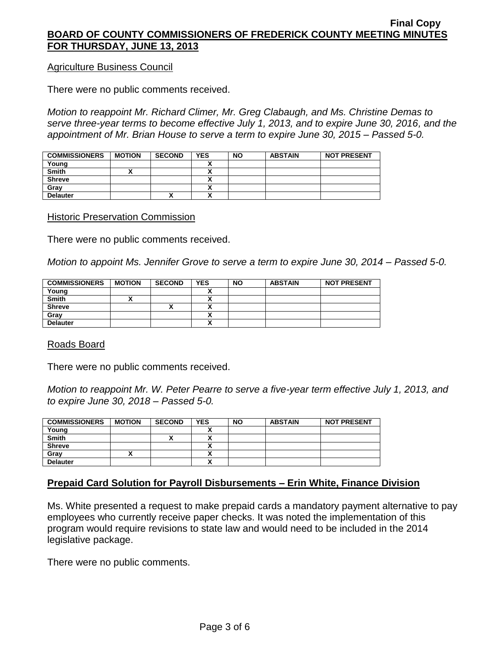### Agriculture Business Council

There were no public comments received.

*Motion to reappoint Mr. Richard Climer, Mr. Greg Clabaugh, and Ms. Christine Demas to serve three-year terms to become effective July 1, 2013, and to expire June 30, 2016, and the appointment of Mr. Brian House to serve a term to expire June 30, 2015 – Passed 5-0.*

| <b>COMMISSIONERS</b> | <b>MOTION</b> | <b>SECOND</b> | <b>YES</b> | <b>NO</b> | <b>ABSTAIN</b> | <b>NOT PRESENT</b> |
|----------------------|---------------|---------------|------------|-----------|----------------|--------------------|
| Young                |               |               |            |           |                |                    |
| <b>Smith</b>         |               |               |            |           |                |                    |
| <b>Shreve</b>        |               |               |            |           |                |                    |
| Gray                 |               |               |            |           |                |                    |
| <b>Delauter</b>      |               | "             |            |           |                |                    |

#### Historic Preservation Commission

There were no public comments received.

*Motion to appoint Ms. Jennifer Grove to serve a term to expire June 30, 2014 – Passed 5-0.*

| <b>COMMISSIONERS</b> | <b>MOTION</b> | <b>SECOND</b> | <b>YES</b> | <b>NO</b> | <b>ABSTAIN</b> | <b>NOT PRESENT</b> |
|----------------------|---------------|---------------|------------|-----------|----------------|--------------------|
| Young                |               |               |            |           |                |                    |
| <b>Smith</b>         |               |               |            |           |                |                    |
| <b>Shreve</b>        |               | "             | v<br>~     |           |                |                    |
| Gray                 |               |               | ^          |           |                |                    |
| <b>Delauter</b>      |               |               | ^          |           |                |                    |

Roads Board

There were no public comments received.

*Motion to reappoint Mr. W. Peter Pearre to serve a five-year term effective July 1, 2013, and to expire June 30, 2018 – Passed 5-0.*

| <b>COMMISSIONERS</b> | <b>MOTION</b> | <b>SECOND</b> | <b>YES</b> | <b>NO</b> | <b>ABSTAIN</b> | <b>NOT PRESENT</b> |
|----------------------|---------------|---------------|------------|-----------|----------------|--------------------|
| Young                |               |               |            |           |                |                    |
| <b>Smith</b>         |               |               |            |           |                |                    |
| <b>Shreve</b>        |               |               |            |           |                |                    |
| Grav                 |               |               |            |           |                |                    |
| <b>Delauter</b>      |               |               | v          |           |                |                    |

## **Prepaid Card Solution for Payroll Disbursements – Erin White, Finance Division**

Ms. White presented a request to make prepaid cards a mandatory payment alternative to pay employees who currently receive paper checks. It was noted the implementation of this program would require revisions to state law and would need to be included in the 2014 legislative package.

There were no public comments.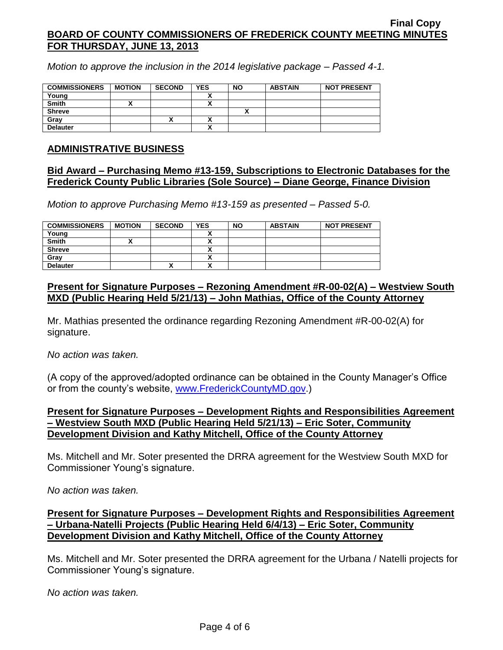*Motion to approve the inclusion in the 2014 legislative package – Passed 4-1.*

| <b>COMMISSIONERS</b> | <b>MOTION</b> | <b>SECOND</b> | <b>YES</b> | <b>NO</b> | <b>ABSTAIN</b> | <b>NOT PRESENT</b> |
|----------------------|---------------|---------------|------------|-----------|----------------|--------------------|
| Young                |               |               |            |           |                |                    |
| <b>Smith</b>         |               |               |            |           |                |                    |
| <b>Shreve</b>        |               |               |            |           |                |                    |
| Gray                 |               |               |            |           |                |                    |
| <b>Delauter</b>      |               |               |            |           |                |                    |

### **ADMINISTRATIVE BUSINESS**

## **Bid Award – Purchasing Memo #13-159, Subscriptions to Electronic Databases for the Frederick County Public Libraries (Sole Source) – Diane George, Finance Division**

*Motion to approve Purchasing Memo #13-159 as presented – Passed 5-0.*

| <b>COMMISSIONERS</b> | <b>MOTION</b> | <b>SECOND</b> | <b>YES</b> | <b>NO</b> | <b>ABSTAIN</b> | <b>NOT PRESENT</b> |
|----------------------|---------------|---------------|------------|-----------|----------------|--------------------|
| Young                |               |               |            |           |                |                    |
| <b>Smith</b>         | ,,            |               | ~          |           |                |                    |
| <b>Shreve</b>        |               |               |            |           |                |                    |
| Grav                 |               |               | <br>^      |           |                |                    |
| <b>Delauter</b>      |               |               | ٠.<br>^    |           |                |                    |

## **Present for Signature Purposes – Rezoning Amendment #R-00-02(A) – Westview South MXD (Public Hearing Held 5/21/13) – John Mathias, Office of the County Attorney**

Mr. Mathias presented the ordinance regarding Rezoning Amendment #R-00-02(A) for signature.

### *No action was taken.*

(A copy of the approved/adopted ordinance can be obtained in the County Manager's Office or from the county's website, [www.FrederickCountyMD.gov.](http://www.frederickcountymd.gov/))

## **Present for Signature Purposes – Development Rights and Responsibilities Agreement – Westview South MXD (Public Hearing Held 5/21/13) – Eric Soter, Community Development Division and Kathy Mitchell, Office of the County Attorney**

Ms. Mitchell and Mr. Soter presented the DRRA agreement for the Westview South MXD for Commissioner Young's signature.

*No action was taken.*

## **Present for Signature Purposes – Development Rights and Responsibilities Agreement – Urbana-Natelli Projects (Public Hearing Held 6/4/13) – Eric Soter, Community Development Division and Kathy Mitchell, Office of the County Attorney**

Ms. Mitchell and Mr. Soter presented the DRRA agreement for the Urbana / Natelli projects for Commissioner Young's signature.

*No action was taken.*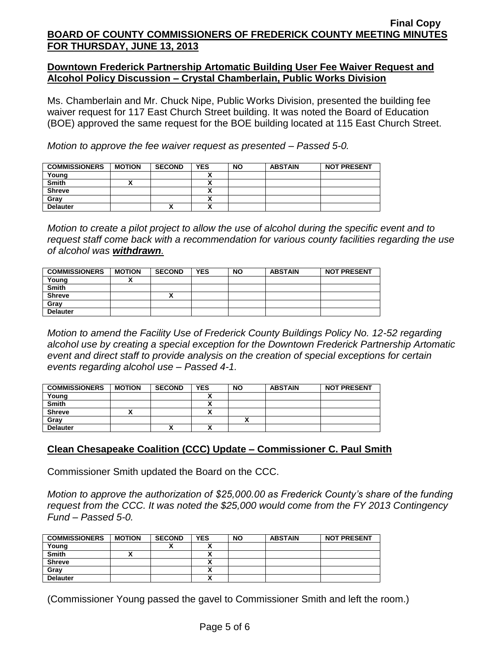## **Downtown Frederick Partnership Artomatic Building User Fee Waiver Request and Alcohol Policy Discussion – Crystal Chamberlain, Public Works Division**

Ms. Chamberlain and Mr. Chuck Nipe, Public Works Division, presented the building fee waiver request for 117 East Church Street building. It was noted the Board of Education (BOE) approved the same request for the BOE building located at 115 East Church Street.

*Motion to approve the fee waiver request as presented – Passed 5-0.*

| <b>COMMISSIONERS</b> | <b>MOTION</b> | <b>SECOND</b> | <b>YES</b> | <b>NO</b> | <b>ABSTAIN</b> | <b>NOT PRESENT</b> |
|----------------------|---------------|---------------|------------|-----------|----------------|--------------------|
| Young                |               |               |            |           |                |                    |
| <b>Smith</b>         |               |               |            |           |                |                    |
| <b>Shreve</b>        |               |               |            |           |                |                    |
| Gray                 |               |               |            |           |                |                    |
| <b>Delauter</b>      |               | ^             |            |           |                |                    |

*Motion to create a pilot project to allow the use of alcohol during the specific event and to request staff come back with a recommendation for various county facilities regarding the use of alcohol was withdrawn.*

| <b>COMMISSIONERS</b> | <b>MOTION</b> | <b>SECOND</b> | <b>YES</b> | <b>NO</b> | <b>ABSTAIN</b> | <b>NOT PRESENT</b> |
|----------------------|---------------|---------------|------------|-----------|----------------|--------------------|
| Young                |               |               |            |           |                |                    |
| <b>Smith</b>         |               |               |            |           |                |                    |
| <b>Shreve</b>        |               | "             |            |           |                |                    |
| Grav                 |               |               |            |           |                |                    |
| <b>Delauter</b>      |               |               |            |           |                |                    |

*Motion to amend the Facility Use of Frederick County Buildings Policy No. 12-52 regarding alcohol use by creating a special exception for the Downtown Frederick Partnership Artomatic event and direct staff to provide analysis on the creation of special exceptions for certain events regarding alcohol use – Passed 4-1.*

| <b>COMMISSIONERS</b> | <b>MOTION</b> | <b>SECOND</b> | <b>YES</b> | <b>NO</b> | <b>ABSTAIN</b> | <b>NOT PRESENT</b> |
|----------------------|---------------|---------------|------------|-----------|----------------|--------------------|
| Young                |               |               |            |           |                |                    |
| <b>Smith</b>         |               |               | ~          |           |                |                    |
| <b>Shreve</b>        |               |               | ,,         |           |                |                    |
| Gray                 |               |               |            |           |                |                    |
| <b>Delauter</b>      |               |               | Λ          |           |                |                    |

# **Clean Chesapeake Coalition (CCC) Update – Commissioner C. Paul Smith**

Commissioner Smith updated the Board on the CCC.

*Motion to approve the authorization of \$25,000.00 as Frederick County's share of the funding request from the CCC. It was noted the \$25,000 would come from the FY 2013 Contingency Fund – Passed 5-0.*

| <b>COMMISSIONERS</b> | <b>MOTION</b> | <b>SECOND</b> | <b>YES</b>   | <b>NO</b> | <b>ABSTAIN</b> | <b>NOT PRESENT</b> |
|----------------------|---------------|---------------|--------------|-----------|----------------|--------------------|
| Young                |               |               |              |           |                |                    |
| <b>Smith</b>         |               |               |              |           |                |                    |
| <b>Shreve</b>        |               |               |              |           |                |                    |
| Grav                 |               |               |              |           |                |                    |
| <b>Delauter</b>      |               |               | $\mathbf{v}$ |           |                |                    |

(Commissioner Young passed the gavel to Commissioner Smith and left the room.)